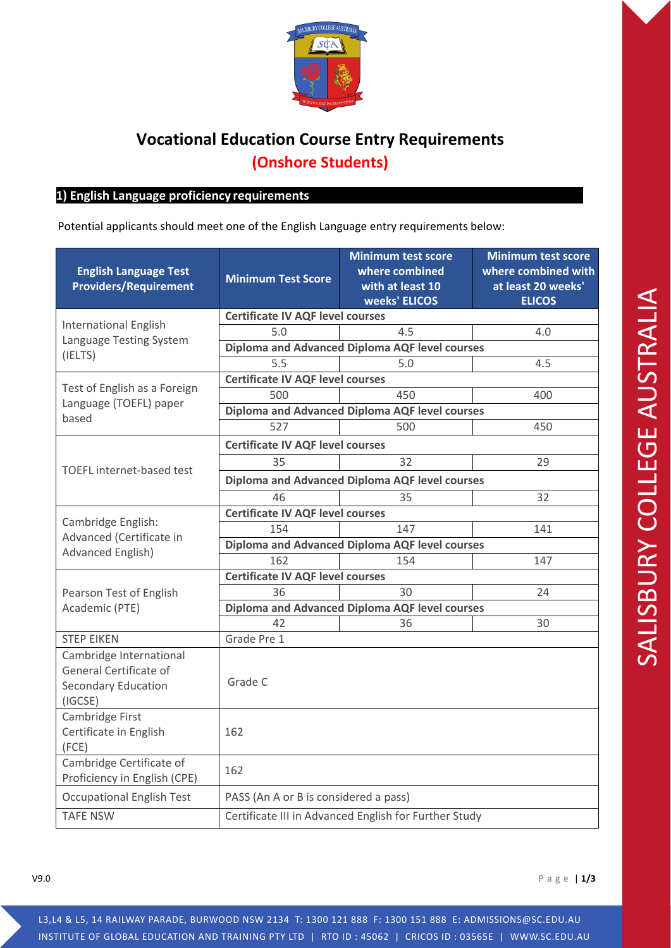

## **Vocational Education Course Entry Requirements (Onshore Students)**

## **1) 1) English Language proficiency requirements**

Potential applicants should meet one of the English Language entry requirements below:

| <b>English Language Test</b><br><b>Providers/Requirement</b>                               | <b>Minimum Test Score</b>                             | <b>Minimum test score</b><br>where combined<br>with at least 10<br>weeks' ELICOS | <b>Minimum test score</b><br>where combined with<br>at least 20 weeks'<br><b>ELICOS</b> |  |  |
|--------------------------------------------------------------------------------------------|-------------------------------------------------------|----------------------------------------------------------------------------------|-----------------------------------------------------------------------------------------|--|--|
|                                                                                            | <b>Certificate IV AQF level courses</b>               |                                                                                  |                                                                                         |  |  |
| <b>International English</b><br>Language Testing System<br>(IELTS)                         | 5.0                                                   | 4.5                                                                              | 4.0                                                                                     |  |  |
|                                                                                            | Diploma and Advanced Diploma AQF level courses        |                                                                                  |                                                                                         |  |  |
|                                                                                            | 5.5                                                   | 5.0                                                                              | 4.5                                                                                     |  |  |
| Test of English as a Foreign<br>Language (TOEFL) paper<br>based                            | <b>Certificate IV AQF level courses</b>               |                                                                                  |                                                                                         |  |  |
|                                                                                            | 500                                                   | 450                                                                              | 400                                                                                     |  |  |
|                                                                                            | Diploma and Advanced Diploma AQF level courses        |                                                                                  |                                                                                         |  |  |
|                                                                                            | 527                                                   | 500                                                                              | 450                                                                                     |  |  |
| TOEFL internet-based test                                                                  | <b>Certificate IV AQF level courses</b>               |                                                                                  |                                                                                         |  |  |
|                                                                                            | 35                                                    | 32                                                                               | 29                                                                                      |  |  |
|                                                                                            | Diploma and Advanced Diploma AQF level courses        |                                                                                  |                                                                                         |  |  |
|                                                                                            | 46                                                    | 35                                                                               | 32                                                                                      |  |  |
|                                                                                            | <b>Certificate IV AQF level courses</b>               |                                                                                  |                                                                                         |  |  |
| Cambridge English:<br>Advanced (Certificate in<br><b>Advanced English)</b>                 | 154                                                   | 147                                                                              | 141                                                                                     |  |  |
|                                                                                            | Diploma and Advanced Diploma AQF level courses        |                                                                                  |                                                                                         |  |  |
|                                                                                            | 162                                                   | 154                                                                              | 147                                                                                     |  |  |
| Pearson Test of English<br>Academic (PTE)                                                  | <b>Certificate IV AQF level courses</b>               |                                                                                  |                                                                                         |  |  |
|                                                                                            | 36                                                    | 30                                                                               | 24                                                                                      |  |  |
|                                                                                            | Diploma and Advanced Diploma AQF level courses        |                                                                                  |                                                                                         |  |  |
|                                                                                            | 42                                                    | 36                                                                               | 30                                                                                      |  |  |
| <b>STEP EIKEN</b>                                                                          | Grade Pre 1                                           |                                                                                  |                                                                                         |  |  |
| Cambridge International<br>General Certificate of<br><b>Secondary Education</b><br>(IGCSE) | Grade C                                               |                                                                                  |                                                                                         |  |  |
| Cambridge First<br>Certificate in English<br>(FCE)                                         | 162                                                   |                                                                                  |                                                                                         |  |  |
| Cambridge Certificate of<br>Proficiency in English (CPE)                                   | 162                                                   |                                                                                  |                                                                                         |  |  |
| <b>Occupational English Test</b>                                                           | PASS (An A or B is considered a pass)                 |                                                                                  |                                                                                         |  |  |
| <b>TAFE NSW</b>                                                                            | Certificate III in Advanced English for Further Study |                                                                                  |                                                                                         |  |  |

V9.0 Page | **1/3**

L3,L4 & L5, 14 RAILWAY PARADE, BURWOOD NSW 2134 T: 1300 121 888 F: 1300 151 888 E: ADMISSIONS@SC.EDU.AU INSTITUTE OF GLOBAL EDUCATION AND TRAINING PTY LTD | RTO ID : 45062 | CRICOS ID : 03565E | WWW.SC.EDU.AU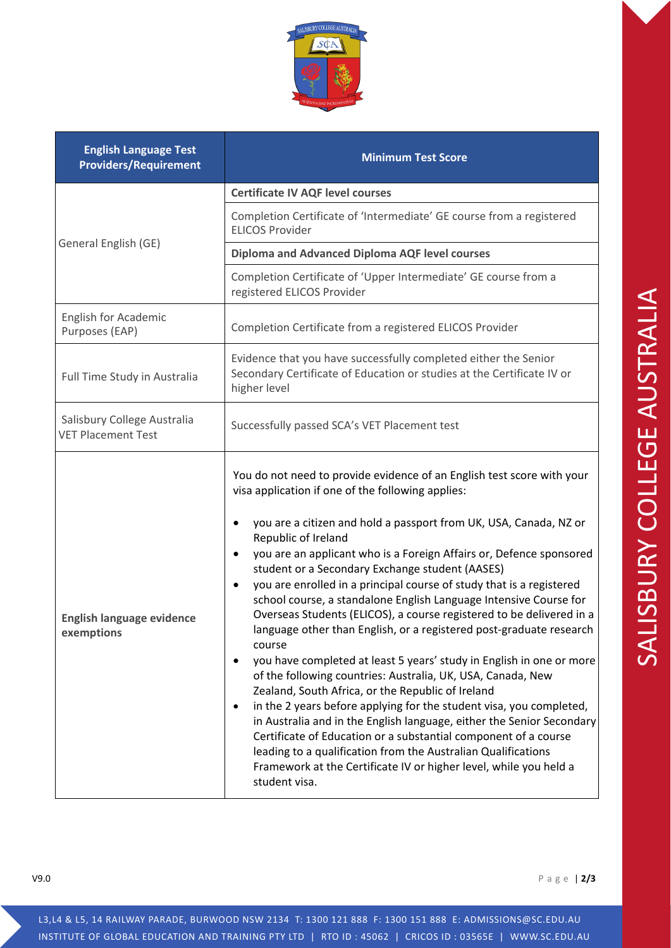| <b>English Language Test</b><br><b>Providers/Requirement</b> | <b>Minimum Test Score</b>                                                                                                                                                                                                                                                                                                                                                                                                                                                                                                                                                                                                                                                                                                                                                                                                                                                                                                                                                                                                                                                                                                                                                                                                                                            |  |  |
|--------------------------------------------------------------|----------------------------------------------------------------------------------------------------------------------------------------------------------------------------------------------------------------------------------------------------------------------------------------------------------------------------------------------------------------------------------------------------------------------------------------------------------------------------------------------------------------------------------------------------------------------------------------------------------------------------------------------------------------------------------------------------------------------------------------------------------------------------------------------------------------------------------------------------------------------------------------------------------------------------------------------------------------------------------------------------------------------------------------------------------------------------------------------------------------------------------------------------------------------------------------------------------------------------------------------------------------------|--|--|
|                                                              | <b>Certificate IV AQF level courses</b>                                                                                                                                                                                                                                                                                                                                                                                                                                                                                                                                                                                                                                                                                                                                                                                                                                                                                                                                                                                                                                                                                                                                                                                                                              |  |  |
| General English (GE)                                         | Completion Certificate of 'Intermediate' GE course from a registered<br><b>ELICOS Provider</b>                                                                                                                                                                                                                                                                                                                                                                                                                                                                                                                                                                                                                                                                                                                                                                                                                                                                                                                                                                                                                                                                                                                                                                       |  |  |
|                                                              | <b>Diploma and Advanced Diploma AQF level courses</b>                                                                                                                                                                                                                                                                                                                                                                                                                                                                                                                                                                                                                                                                                                                                                                                                                                                                                                                                                                                                                                                                                                                                                                                                                |  |  |
|                                                              | Completion Certificate of 'Upper Intermediate' GE course from a<br>registered ELICOS Provider                                                                                                                                                                                                                                                                                                                                                                                                                                                                                                                                                                                                                                                                                                                                                                                                                                                                                                                                                                                                                                                                                                                                                                        |  |  |
| English for Academic<br>Purposes (EAP)                       | Completion Certificate from a registered ELICOS Provider                                                                                                                                                                                                                                                                                                                                                                                                                                                                                                                                                                                                                                                                                                                                                                                                                                                                                                                                                                                                                                                                                                                                                                                                             |  |  |
| Full Time Study in Australia                                 | Evidence that you have successfully completed either the Senior<br>Secondary Certificate of Education or studies at the Certificate IV or<br>higher level                                                                                                                                                                                                                                                                                                                                                                                                                                                                                                                                                                                                                                                                                                                                                                                                                                                                                                                                                                                                                                                                                                            |  |  |
| Salisbury College Australia<br><b>VET Placement Test</b>     | Successfully passed SCA's VET Placement test                                                                                                                                                                                                                                                                                                                                                                                                                                                                                                                                                                                                                                                                                                                                                                                                                                                                                                                                                                                                                                                                                                                                                                                                                         |  |  |
| <b>English language evidence</b><br>exemptions               | You do not need to provide evidence of an English test score with your<br>visa application if one of the following applies:<br>you are a citizen and hold a passport from UK, USA, Canada, NZ or<br>Republic of Ireland<br>you are an applicant who is a Foreign Affairs or, Defence sponsored<br>student or a Secondary Exchange student (AASES)<br>you are enrolled in a principal course of study that is a registered<br>$\bullet$<br>school course, a standalone English Language Intensive Course for<br>Overseas Students (ELICOS), a course registered to be delivered in a<br>language other than English, or a registered post-graduate research<br>course<br>you have completed at least 5 years' study in English in one or more<br>$\bullet$<br>of the following countries: Australia, UK, USA, Canada, New<br>Zealand, South Africa, or the Republic of Ireland<br>in the 2 years before applying for the student visa, you completed,<br>$\bullet$<br>in Australia and in the English language, either the Senior Secondary<br>Certificate of Education or a substantial component of a course<br>leading to a qualification from the Australian Qualifications<br>Framework at the Certificate IV or higher level, while you held a<br>student visa. |  |  |

V9.0 Page | **2/3**